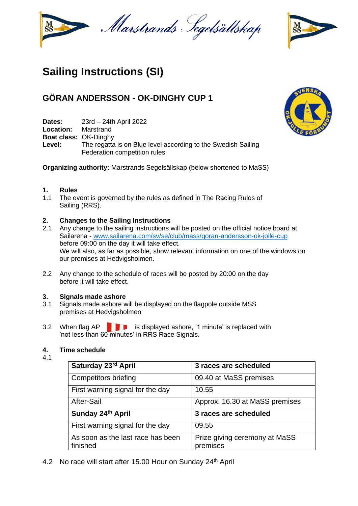



# **Sailing Instructions (SI)**

## **GÖRAN ANDERSSON - OK-DINGHY CUP 1**

**Dates:** 23rd – 24th April 2022

**Location:** Marstrand

**Boat class: OK-Dinghy<br>Level:** The regatta

The regatta is on Blue level according to the Swedish Sailing Federation competition rules

**Organizing authority:** Marstrands Segelsällskap (below shortened to MaSS)

## **1. Rules**

1.1 The event is governed by the rules as defined in The Racing Rules of Sailing (RRS).

## **2. Changes to the Sailing Instructions**

- 2.1 Any change to the sailing instructions will be posted on the official notice board at Sailarena - [www.sailarena.com/sv/se/club/mass/goran-andersson-ok-jolle-cup](http://www.sailarena.com/sv/se/club/mass/goran-andersson-ok-jolle-cup) before 09:00 on the day it will take effect. We will also, as far as possible, show relevant information on one of the windows on our premises at Hedvigsholmen.
- 2.2 Any change to the schedule of races will be posted by 20:00 on the day before it will take effect.

### **3. Signals made ashore**

- 3.1 Signals made ashore will be displayed on the flagpole outside MSS premises at Hedvigsholmen
- 3.2 When flag  $AP$  **is displayed ashore, '1 minute' is replaced with** 'not less than 60 minutes' in RRS Race Signals.

## **4. Time schedule**

4.1

| Saturday 23rd April                           | 3 races are scheduled                     |  |  |
|-----------------------------------------------|-------------------------------------------|--|--|
| <b>Competitors briefing</b>                   | 09.40 at MaSS premises                    |  |  |
| First warning signal for the day              | 10.55                                     |  |  |
| After-Sail                                    | Approx. 16.30 at MaSS premises            |  |  |
| Sunday 24th April                             | 3 races are scheduled                     |  |  |
| First warning signal for the day              | 09.55                                     |  |  |
| As soon as the last race has been<br>finished | Prize giving ceremony at MaSS<br>premises |  |  |

4.2 No race will start after 15.00 Hour on Sunday 24<sup>th</sup> April

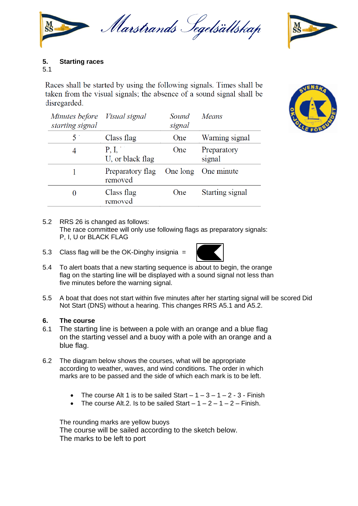

## **5. Starting races**

## 5.1

Races shall be started by using the following signals. Times shall be taken from the visual signals; the absence of a sound signal shall be disregarded.

| Minutes before Visual signal<br>starting signal |                             | Sound<br>signal | Means                 |
|-------------------------------------------------|-----------------------------|-----------------|-----------------------|
| $5^{\circ}$                                     | Class flag                  | One             | Warning signal        |
|                                                 | P, I,<br>U, or black flag   | One             | Preparatory<br>signal |
|                                                 | Preparatory flag<br>removed | One long        | One minute            |
|                                                 | Class flag<br>removed       | One             | Starting signal       |

## 5.2 RRS 26 is changed as follows:

The race committee will only use following flags as preparatory signals: P, I, U or BLACK FLAG

5.3 Class flag will be the OK-Dinghy insignia =



- 5.4 To alert boats that a new starting sequence is about to begin, the orange flag on the starting line will be displayed with a sound signal not less than five minutes before the warning signal.
- 5.5 A boat that does not start within five minutes after her starting signal will be scored Did Not Start (DNS) without a hearing. This changes RRS A5.1 and A5.2.

## **6. The course**

- 6.1 The starting line is between a pole with an orange and a blue flag on the starting vessel and a buoy with a pole with an orange and a blue flag.
- 6.2 The diagram below shows the courses, what will be appropriate according to weather, waves, and wind conditions. The order in which marks are to be passed and the side of which each mark is to be left.
	- The course Alt 1 is to be sailed Start  $-1-3-1-2-3$  Finish
	- The course Alt.2. Is to be sailed Start  $-1 2 1 2 -$  Finish.

The rounding marks are yellow buoys The course will be sailed according to the sketch below. The marks to be left to port



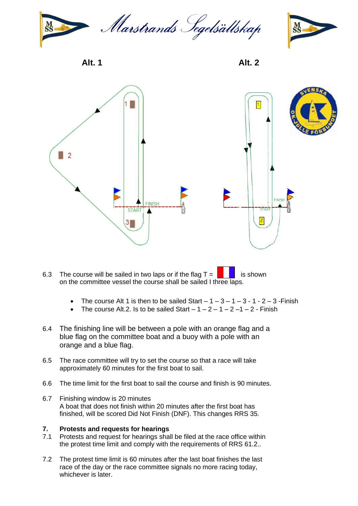



**Alt. 1 Alt. 2**



- 6.3 The course will be sailed in two laps or if the flag  $T = \begin{bmatrix} 1 & 1 \\ 1 & 1 \end{bmatrix}$  is shown on the committee vessel the course shall be sailed I three laps.
	- The course Alt 1 is then to be sailed Start  $-1 3 1 3 1 2 3$  Finish
	- The course Alt.2. Is to be sailed Start  $-1 2 1 2 1 2 1$  Finish
- 6.4 The finishing line will be between a pole with an orange flag and a blue flag on the committee boat and a buoy with a pole with an orange and a blue flag.
- 6.5 The race committee will try to set the course so that a race will take approximately 60 minutes for the first boat to sail.
- 6.6 The time limit for the first boat to sail the course and finish is 90 minutes.
- 6.7 Finishing window is 20 minutes A boat that does not finish within 20 minutes after the first boat has finished, will be scored Did Not Finish (DNF). This changes RRS 35.

### **7. Protests and requests for hearings**

- 7.1 Protests and request for hearings shall be filed at the race office within the protest time limit and comply with the requirements of RRS 61.2..
- 7.2 The protest time limit is 60 minutes after the last boat finishes the last race of the day or the race committee signals no more racing today, whichever is later.